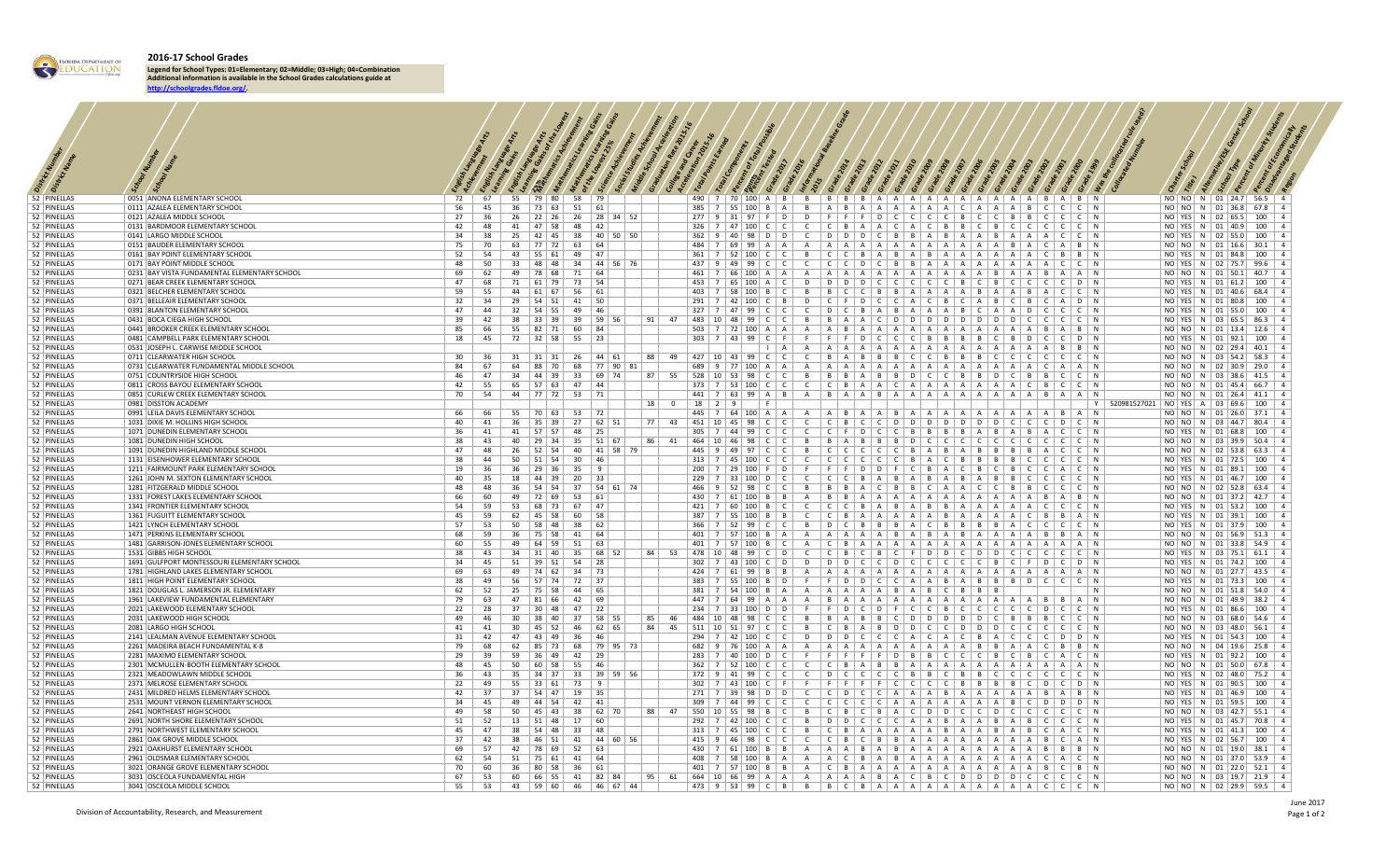

**2016-17 School Grades**

**Legend for School Types: 01=Elementary; 02=Middle; 03=High; 04=Combination Additional information is available in the School Grades calculations guide at http://schoolgrades.fldoe.org/.**

| 52 PINELLAS                | 0051 ANONA ELEMENTARY SCHOOL                                                      | 72       | 67               |    |                                | 55   79   80   58   79                                                        |              |                   |            |              |              |                                                                                                                          |             |                     |                                                                                                     |  |  |                                                                                                                                                                                     |  |                        |                                             | NO NO  N   01   24.7   56.5   4                                     |  |     |                          |  |
|----------------------------|-----------------------------------------------------------------------------------|----------|------------------|----|--------------------------------|-------------------------------------------------------------------------------|--------------|-------------------|------------|--------------|--------------|--------------------------------------------------------------------------------------------------------------------------|-------------|---------------------|-----------------------------------------------------------------------------------------------------|--|--|-------------------------------------------------------------------------------------------------------------------------------------------------------------------------------------|--|------------------------|---------------------------------------------|---------------------------------------------------------------------|--|-----|--------------------------|--|
| 52 PINELLAS                | 0111 AZALEA ELEMENTARY SCHOOL                                                     | 56       | 45               |    |                                | $36$   73   63   51   61                                                      |              |                   |            |              |              |                                                                                                                          |             |                     |                                                                                                     |  |  |                                                                                                                                                                                     |  |                        |                                             | NO NO  N   01   36.8   67.8   4                                     |  |     |                          |  |
| 52 PINELLAS<br>52 PINELLAS | 0121 AZALEA MIDDLE SCHOOL<br>0131 BARDMOOR ELEMENTARY SCHOOL                      | 27       | 36<br>42 48      |    |                                | 26   22   26   26   28   34   52<br>41   47   58   48   42                    |              |                   |            |              |              | 326 7 47 100 CCCCCCBAAACACBBCBCCCC                                                                                       |             |                     |                                                                                                     |  |  |                                                                                                                                                                                     |  | C   C   N              |                                             | NO YES N 02 65.5 100 4<br>NO YES N 01 40.9 100 4                    |  |     |                          |  |
| 52 PINELLAS                | 0141 LARGO MIDDLE SCHOOL                                                          | 34       | 38               |    | $25 \mid 42 \mid 45 \mid$      |                                                                               |              | 38 40 50 50       |            |              |              | $362$   9   40   98   D   D                                                                                              |             | $\mathsf{C}$        |                                                                                                     |  |  |                                                                                                                                                                                     |  |                        |                                             | NO   YES   N   02   55.0                                            |  |     | $100 \mid 4$             |  |
| 52 PINELLAS                | 0151 BAUDER ELEMENTARY SCHOOL                                                     | 75       | 70               | 63 | 77 72                          | 63                                                                            | 64           |                   |            |              |              | $484$   7   69   99   A   A                                                                                              |             | A                   |                                                                                                     |  |  | $A \mid A \mid A \mid A \mid A \mid A \mid A \mid A \mid A \mid A \mid B \mid A \mid$                                                                                               |  | $A \mid B \mid N$      |                                             | NO NO  N   01   16.6                                                |  |     | $30.1$   4               |  |
| 52 PINELLAS                | 0161 BAY POINT ELEMENTARY SCHOOL                                                  | 52       | 54               |    | 43   55   61                   | 49                                                                            | 47           |                   |            |              |              | $361$   7   52   100   C   C                                                                                             |             | B                   |                                                                                                     |  |  | $C   C   B   A   B   A   B   A   A   A   A   A   A$                                                                                                                                 |  | $B$   $B$   $N$        |                                             | NO YES N 01 84.8 100 4                                              |  |     |                          |  |
| 52 PINELLAS                | 0171 BAY POINT MIDDLE SCHOOL                                                      | 48       | 50               | 33 | 48 48                          |                                                                               |              | 34   44   56   76 |            |              |              | $437$   9   49   99   C   C                                                                                              |             | $\overline{c}$      |                                                                                                     |  |  | $C   C   D   C   B   B   A   A   A   A   A   A   A   A   C   C   N$                                                                                                                 |  |                        |                                             | NO   YES   N   02   75.7                                            |  |     | $99.6$ 4                 |  |
| 52 PINELLAS<br>52 PINELLAS | 0231 BAY VISTA FUNDAMENTAL ELEMENTARY SCHOOL<br>0271 BEAR CREEK ELEMENTARY SCHOOL | 69<br>47 | 62<br>68         |    | 49   78   68  <br>71   61   79 | 71 64<br>73 54                                                                |              |                   |            | 461<br>453   |              | 7   66   100   A   A<br>7   65   100   A   C                                                                             |             | A<br>D              |                                                                                                     |  |  | $A \mid A \mid A \mid A \mid A \mid A \mid A \mid A \mid A \mid B \mid A \mid A \mid B \mid A \mid A \mid N$<br>$D   D   D   C   C   C   C   C   B   C   B   C   C   C   C   D   N$ |  |                        |                                             | NO NO  N   01   50.1   40.7   4<br>NO YES N 01 61.2 100 4           |  |     |                          |  |
| 52 PINELLAS                | 0321 BELCHER ELEMENTARY SCHOOL                                                    | 59       | 55               |    |                                | 44   61   67   56   61                                                        |              |                   |            |              | $403 \mid 7$ | 58   100   B   C                                                                                                         |             | B                   |                                                                                                     |  |  | $B   C   C   B   B   A   A   A   A   B   A   A   B   A   C   C   N$                                                                                                                 |  |                        |                                             | NO YES N 01 40.6 68.4 4                                             |  |     |                          |  |
| 52 PINELLAS                | 0371 BELLEAIR ELEMENTARY SCHOOL                                                   | 32       | 34               |    |                                | 29   54   51   41   50                                                        |              |                   |            |              |              | $291$   7   42   100   C   B                                                                                             |             | D                   |                                                                                                     |  |  | $C \mid F \mid D \mid C \mid C \mid A \mid C \mid B \mid C \mid A \mid B \mid C \mid B \mid C \mid A \mid D \mid N$                                                                 |  |                        |                                             | NO YES N 01 80.8 100 4                                              |  |     |                          |  |
| 52 PINELLAS                | 0391 BLANTON ELEMENTARY SCHOOL                                                    | 47       | 44               |    |                                | 32   54   55   49   46                                                        |              |                   |            |              |              | $327$   7   47   99   C   C                                                                                              |             | $\mathsf{C}$        |                                                                                                     |  |  | $D   C   B   A   B   A   A   A   A   B   C   A   A   D   C  $                                                                                                                       |  | C   C   N              |                                             | NO YES N 01 55.0 100 4                                              |  |     |                          |  |
| 52 PINELLAS                | 0431 BOCA CIEGA HIGH SCHOOL                                                       | 39       | 42               |    |                                | 38 33 39 39 59 56                                                             |              |                   |            | $91 \mid 47$ |              | 483   10   48   99   C   C                                                                                               |             | $\overline{B}$      |                                                                                                     |  |  | $B   A   A   C   D   D   D   D   D   D   D   C   C   C$                                                                                                                             |  | $C$ $C$ $N$            |                                             | NO YES N 03 65.5 86.3 4                                             |  |     |                          |  |
| 52 PINELLAS<br>52 PINELLAS | 0441 BROOKER CREEK ELEMENTARY SCHOOL<br>0481 CAMPBELL PARK ELEMENTARY SCHOOL      | 85<br>18 | 66<br>45         |    |                                | $55 \mid 82 \mid 71 \mid 60 \mid 84$<br>72   32   58   55   23                |              |                   |            |              |              | $503$   7   72   100   A   A  <br>$303$   7   43   99   C   F                                                            |             | $\overline{A}$<br>F |                                                                                                     |  |  | $A \mid B \mid A \mid A \mid A \mid A \mid A \mid A \mid A \mid A \mid A \mid A \mid B \mid A \mid B \mid N$<br>$F   F   D   C   C   C   B   B   B   B   B   C   B   D   C$         |  | $C$   D   N            |                                             | NO NO  N   01   13.4   12.6   4<br>NO YES N 01 92.1 100 4           |  |     |                          |  |
| 52 PINELLAS                | 0531 JOSEPH L. CARWISE MIDDLE SCHOOL                                              |          |                  |    |                                |                                                                               |              |                   |            |              |              |                                                                                                                          | $\vert$   A | A                   |                                                                                                     |  |  |                                                                                                                                                                                     |  |                        |                                             | NO NO  N   02   29.4   40.1   4                                     |  |     |                          |  |
| 52 PINELLAS                | 0711 CLEARWATER HIGH SCHOOL                                                       | 30       | - 36             |    |                                | $31 \mid 31 \mid 31 \mid 26 \mid 44 \mid 61 \mid$                             |              |                   | 88         | 49           |              | $427$   10   43   99   C   C                                                                                             |             | $\mathsf{C}$        |                                                                                                     |  |  |                                                                                                                                                                                     |  |                        |                                             | NO NO  N   03   54.2   58.3   4                                     |  |     |                          |  |
| 52 PINELLAS                | 0731 CLEARWATER FUNDAMENTAL MIDDLE SCHOOL                                         | 84       | 67               |    | $64$   88   70                 | 68   77   90                                                                  |              | 81                |            |              |              | 689 9 77 100 A A                                                                                                         |             | A                   |                                                                                                     |  |  |                                                                                                                                                                                     |  |                        |                                             | NO NO  N   02   30.9   29.0   4                                     |  |     |                          |  |
| 52 PINELLAS<br>52 PINELLAS | 0751 COUNTRYSIDE HIGH SCHOOL<br>0811 CROSS BAYOU ELEMENTARY SCHOOL                | 46<br>42 | 47<br>55         |    |                                | 34   44   39   33   69   74  <br>$65$   57   63   47   44                     |              |                   |            | 87 55        |              | 528   10   53   98   C   C   B   B   B   A   B   B   D   C   C   B   B   D   C   B   B   C   C   N<br>$373$ 7 53 100 C C |             | $\mathsf{C}$        |                                                                                                     |  |  |                                                                                                                                                                                     |  |                        |                                             | NO NO  N   03   38.6   41.5   4<br>NO NO  N   01   45.4   66.7   4  |  |     |                          |  |
| 52 PINELLAS                | 0851 CURLEW CREEK ELEMENTARY SCHOOL                                               | 70       | 54               |    |                                | 44   77   72   53   71                                                        |              |                   |            |              |              | $441$   7   63   99   A   B                                                                                              |             | A                   |                                                                                                     |  |  |                                                                                                                                                                                     |  |                        |                                             | NO NO  N   01   26.4   41.1   4                                     |  |     |                          |  |
| 52 PINELLAS                | 0981 DISSTON ACADEMY                                                              |          |                  |    |                                |                                                                               |              |                   |            | $18$ 0       |              | $18$   2   9                                                                                                             |             |                     |                                                                                                     |  |  |                                                                                                                                                                                     |  |                        | Y   520981527021   NO   YES   A   03   69.6 |                                                                     |  |     |                          |  |
| 52 PINELLAS                | 0991 LEILA DAVIS ELEMENTARY SCHOOL                                                | 66.      | 66               |    |                                | 55   70   63   53   72                                                        |              |                   |            |              |              |                                                                                                                          |             |                     |                                                                                                     |  |  | A IBIA IA IBIA IA IA IA IA IA IA IBIA IN                                                                                                                                            |  |                        |                                             | NO NO  N   01   26.0                                                |  |     | $37.1$ 4                 |  |
| 52 PINELLAS                | 1031 DIXIE M. HOLLINS HIGH SCHOOL                                                 | 40       | 41               |    |                                | 36 35 39 27 62 51                                                             |              |                   |            | 77 43        |              | 451 10 45 98 C C                                                                                                         |             | $\mathbb{C}$        |                                                                                                     |  |  |                                                                                                                                                                                     |  |                        |                                             | NO NO  N   03   44.7   80.4   4                                     |  |     |                          |  |
| 52 PINELLAS<br>52 PINELLAS | 1071 DUNEDIN ELEMENTARY SCHOOL<br>1081 DUNEDIN HIGH SCHOOL                        | 36<br>38 | 41<br>43         |    |                                | 41   57   57   48   25  <br>40   29   34   35   51   67                       |              |                   |            | 86 41        |              | $305$   7   44   99   C   C  <br>464 10 46 98 CCC                                                                        |             |                     | C C F D C C B B B B A B A B A C C N<br>B B A B B B B D C C C C C C C C C C C C C                    |  |  |                                                                                                                                                                                     |  |                        |                                             | NO YES N 01 68.8 100 4<br>NO NO  N   03   39.9   50.4   4           |  |     |                          |  |
| 52 PINELLAS                | 1091 DUNEDIN HIGHLAND MIDDLE SCHOOL                                               | 47       | 48               |    |                                | 26   52   54   40   41   58   79                                              |              |                   |            |              |              | $445$   9   49   97   C   C                                                                                              |             |                     | B CCCCCCBABABBBBBACCN                                                                               |  |  |                                                                                                                                                                                     |  |                        |                                             | NO NO  N   02   53.8   63.3   4                                     |  |     |                          |  |
| 52 PINELLAS                | 1131 EISENHOWER ELEMENTARY SCHOOL                                                 | 38       | 44               |    | $50 \mid 51 \mid 54 \mid 30$   |                                                                               | 46           |                   |            |              |              | $313$   7   45   100   C   C                                                                                             |             | $\mathsf{C}$        |                                                                                                     |  |  |                                                                                                                                                                                     |  | $C \cup C \cup N$      |                                             | NO YES N 01 72.5 100                                                |  |     |                          |  |
| 52 PINELLAS                | 1211 FAIRMOUNT PARK ELEMENTARY SCHOOL                                             | 19       | 36               |    | $36 \mid 29 \mid 36 \mid$      | 35                                                                            | $\mathbf{q}$ |                   |            |              |              | $200$   7   29   100   F   D                                                                                             |             | F                   |                                                                                                     |  |  | $F   F   D   D   F   C   B   A   C   B   C   B   C  $                                                                                                                               |  | $A \cup C \cup N$      |                                             | NO   YES   N   01   89.1                                            |  | 100 |                          |  |
| 52 PINELLAS<br>52 PINELLAS | 1261 JOHN M. SEXTON ELEMENTARY SCHOOL<br>1281 FITZGERALD MIDDLE SCHOOL            | 40<br>48 | 35<br>48         | 36 | $54$ 54                        | 18   44   39   20   33                                                        |              | 37   54   61   74 |            |              |              | $229$   7   33   100   D   C  <br>466   9   52   98   C   C                                                              |             | B                   | $C   C   C   B   A   B   A   B   A   B   A   B   A   B   C  $                                       |  |  | $B   B   A   C   B   B   C   A   A   C   C   B   B$                                                                                                                                 |  | C   C   N<br>C   C   N |                                             | NO YES N 01 46.7<br>NO NO  N   02   52.8                            |  |     | $100 \mid 4$<br>$63.4$ 4 |  |
| 52 PINELLAS                | 1331 FOREST LAKES ELEMENTARY SCHOOL                                               | 66       | 60               |    | 49   72   69                   | $53 \mid 61$                                                                  |              |                   |            |              |              | 430   7   61   100   B   B                                                                                               |             | A                   |                                                                                                     |  |  |                                                                                                                                                                                     |  |                        |                                             | NO   NO   N   01   37.2   42.7   4                                  |  |     |                          |  |
| 52 PINELLAS                | 1341 FRONTIER ELEMENTARY SCHOOL                                                   | 54       | 59               |    | 53   68   73                   | 67                                                                            |              |                   |            |              |              | 7   60   100   B   C                                                                                                     |             | $\mathsf{C}$        |                                                                                                     |  |  | $C   C   B   A   B   A   B   B   B   A   A   A   A   A  $                                                                                                                           |  |                        |                                             | NO   YES   N   01   53.2                                            |  | 100 | $\vert$ 4                |  |
| 52 PINELLAS                | 1361 FUGUITT ELEMENTARY SCHOOL                                                    | 45       | 59               |    | $62 \mid 45 \mid 58 \mid$      | 60                                                                            | 58           |                   |            |              |              | $387$   7   55   100   B   B                                                                                             |             | $\mathsf{C}$        |                                                                                                     |  |  | $C   B   A   A   A   A   A   B   A   A   A   A   A   C   B   B   A   N$                                                                                                             |  |                        |                                             | NO YES  N   01   39.1                                               |  |     | $100 \mid 4$             |  |
| 52 PINELLAS<br>52 PINELLAS | 1421 LYNCH ELEMENTARY SCHOOL<br>1471 PERKINS ELEMENTARY SCHOOL                    | 57<br>68 | 53<br>59         | 36 |                                | $50 \mid 58 \mid 48 \mid 38 \mid 62$<br>  75   58   41   64                   |              |                   |            | 401          |              | 52   99   C   C  <br>57   100   B   A                                                                                    |             | B<br>A              |                                                                                                     |  |  | $D   C   B   B   B   A   C   B   B   B   B   A   C  $<br>$A \mid A \mid A \mid B \mid B \mid A \mid B \mid A \mid B \mid A \mid A \mid A \mid B \mid B \mid A \mid N$               |  | C   C   N              |                                             | NO YES N 01 37.9 100 4<br>NO NO  N   01   56.9   51.3   4           |  |     |                          |  |
| 52 PINELLAS                | 1481 GARRISON-JONES ELEMENTARY SCHOOL                                             | 60       | 55               |    | 49 64 59                       | $51 \t   63  $                                                                |              |                   |            |              |              | $401$   7   57   100   B   C                                                                                             |             |                     |                                                                                                     |  |  |                                                                                                                                                                                     |  |                        |                                             | NO NO  N   01   33.8   54.9   4                                     |  |     |                          |  |
| 52 PINELLAS                | 1531 GIBBS HIGH SCHOOL                                                            | 38       | 43               |    |                                | 34 31 40 35 68 52                                                             |              |                   |            | 84 53        |              |                                                                                                                          |             |                     |                                                                                                     |  |  |                                                                                                                                                                                     |  |                        |                                             | NO YES N 03 75.1 61.1 4                                             |  |     |                          |  |
| 52 PINELLAS                | 1691 GULFPORT MONTESSOURI ELEMENTARY SCHOOL                                       | 34<br>69 | 45<br>63         |    |                                | $51 \mid 39 \mid 51 \mid 54 \mid 28 \mid$<br>49   74   62   34   73           |              |                   |            |              |              | 7   43   100   C   D  <br>$424$   7   61   99   B   B                                                                    |             |                     | D D D C C D C C C C C C B C F D C D N                                                               |  |  |                                                                                                                                                                                     |  |                        |                                             | NO YES  N   01   74.2   100   4                                     |  |     |                          |  |
| 52 PINELLAS<br>52 PINELLAS | 1781 HIGHLAND LAKES ELEMENTARY SCHOOL<br>1811 HIGH POINT ELEMENTARY SCHOOL        | 38       | 49               |    |                                | 56   57   74   72   37                                                        |              |                   |            |              |              | $383$   7   55   100   B   D                                                                                             |             |                     | F F D D C C A A B A B B B D C C C N                                                                 |  |  |                                                                                                                                                                                     |  |                        |                                             | NO   NO   N   01   27.7   43.5   4<br>NO YES N 01 73.3 100 4        |  |     |                          |  |
| 52 PINELLAS                | 1821 DOUGLAS L. JAMERSON JR. ELEMENTARY                                           | 62       | 52               |    | 25   75   58                   | 44 65                                                                         |              |                   |            |              |              | $381$   7   54   100   B   A   A   A   A   A   A   B   A   B   C   B   B   B                                             |             |                     |                                                                                                     |  |  |                                                                                                                                                                                     |  | $\perp$ N              |                                             | NO NO  N   01   51.8   54.0   4                                     |  |     |                          |  |
| 52 PINELLAS                | 1961 LAKEVIEW FUNDAMENTAL ELEMENTARY                                              | 79       | 63               |    |                                | 47   81   66   42   69                                                        |              |                   |            |              |              |                                                                                                                          |             |                     |                                                                                                     |  |  |                                                                                                                                                                                     |  |                        |                                             | NO NO  N   01   49.9   38.2   4                                     |  |     |                          |  |
| 52 PINELLAS<br>52 PINELLAS | 2021 LAKEWOOD ELEMENTARY SCHOOL                                                   | 22<br>49 | 28<br>46         |    |                                | 37   30   48   47   22                                                        |              |                   |            | 85 46        |              | 234   7   33   100   D   D   F   F   D   C   D   F   C   C   B   C   C   C   C   C   D   C   C   N                       |             |                     |                                                                                                     |  |  |                                                                                                                                                                                     |  |                        |                                             | NO   YES   N   01   86.6   100   4                                  |  |     |                          |  |
| 52 PINELLAS                | 2031 LAKEWOOD HIGH SCHOOL<br>2081 LARGO HIGH SCHOOL                               | 41       | 41               |    |                                | 30   38   40   37   58   55<br>30   45   52   46   62   65                    |              |                   |            |              |              | 484   10   48   98   C   C   B   B   A   B   B   C   D   D   D   D   D   C   B   B   C   C   N                           |             |                     |                                                                                                     |  |  |                                                                                                                                                                                     |  |                        |                                             | NO NO  N   03   68.0   54.6   4<br>NO NO  N   03   48.0   56.1   4  |  |     |                          |  |
| 52 PINELLAS                | 2141 LEALMAN AVENUE ELEMENTARY SCHOOL                                             | 31       | 42               |    |                                | 47   43   49   36   46                                                        |              |                   |            |              |              | 294   7   42   100   C   C   D   D   D   C   C   C   A   C   A   C   B   A   C   C   C   D   D   N                       |             |                     |                                                                                                     |  |  |                                                                                                                                                                                     |  |                        |                                             | NO   YES   N   01   54.3   100   4                                  |  |     |                          |  |
| 52 PINELLAS                | 2261 MADEIRA BEACH FUNDAMENTAL K-8                                                |          | 79 68            |    |                                | 62   85   73   68   79   95   73                                              |              |                   |            |              |              |                                                                                                                          |             |                     |                                                                                                     |  |  |                                                                                                                                                                                     |  |                        |                                             | NO NO  N   04   19.6   25.8   4                                     |  |     |                          |  |
| 52 PINELLAS                | 2281 MAXIMO ELEMENTARY SCHOOL                                                     | 29       | 39               |    |                                | 59   36   49   42   29                                                        |              |                   |            |              |              | 283   7   40   100   D   C   F   F   F   F   F   D   B   B   C   C   C   B   C   B   C   A   C   N                       |             |                     |                                                                                                     |  |  |                                                                                                                                                                                     |  |                        |                                             | NO YES N 01 92.2 100 4                                              |  |     |                          |  |
| 52 PINELLAS<br>52 PINELLAS | 2301 MCMULLEN-BOOTH ELEMENTARY SCHOOL<br>2321 MEADOWLAWN MIDDLE SCHOOL            |          | 48 45<br>$36$ 43 |    |                                | $50 \mid 60 \mid 58 \mid 55 \mid 46 \mid$<br>35   34   37   33   39   59   56 |              |                   |            |              |              |                                                                                                                          |             |                     |                                                                                                     |  |  |                                                                                                                                                                                     |  |                        |                                             | NO NO  N   01   50.0   67.8   4<br>NO YES N 02 48.0 75.2 4          |  |     |                          |  |
| 52 PINELLAS                | 2371 MELROSE ELEMENTARY SCHOOL                                                    |          | 22   49          |    |                                | $55 \mid 33 \mid 61 \mid 73 \mid 9 \mid$                                      |              |                   |            |              |              |                                                                                                                          |             |                     |                                                                                                     |  |  |                                                                                                                                                                                     |  |                        |                                             | NO YES N 01 90.5 100 4                                              |  |     |                          |  |
| 52 PINELLAS                | 2431 MILDRED HELMS ELEMENTARY SCHOOL                                              |          | 42 37            |    |                                | 37   54   47   19   35                                                        |              |                   |            |              |              | 271   7   39   98   D   D   C   C   D   C   C   A   A   A   B   A   A   A   A   A   B   A   B   N                        |             |                     |                                                                                                     |  |  |                                                                                                                                                                                     |  |                        |                                             | NO   YES   N   01   46.9   100   4                                  |  |     |                          |  |
| 52 PINELLAS                | 2531 MOUNT VERNON ELEMENTARY SCHOOL                                               | 49       | $34$ 45<br>58    |    |                                | 49   44   54   42   41  <br>$50 \mid 45 \mid 43 \mid 38 \mid 62 \mid 70$      |              |                   |            | 88 47        |              |                                                                                                                          |             | B                   |                                                                                                     |  |  | $C   B   C   B   A   C   D   D   C   C   D   C   C   C   C  $                                                                                                                       |  | C   C   N              |                                             | NO YES N 01 59.5 100 4<br>NO NO  N   03   42.7   55.1   4           |  |     |                          |  |
| 52 PINELLAS<br>52 PINELLAS | 2641 NORTHEAST HIGH SCHOOL<br>2691 NORTH SHORE ELEMENTARY SCHOOL                  |          | $51 \mid 52$     |    |                                | $13 \mid 51 \mid 48 \mid 17 \mid 60 \mid$                                     |              |                   |            |              |              | 550   10   55   98   B   C  <br>292   7   42   100   C   C                                                               |             | $\overline{B}$      |                                                                                                     |  |  | $ D D C C C A A B A A B A B C$                                                                                                                                                      |  | C   C   N              |                                             | NO YES N 01 45.7 70.8 4                                             |  |     |                          |  |
| 52 PINELLAS                | 2791 NORTHWEST ELEMENTARY SCHOOL                                                  | 45       | 47               |    | 38   54   48                   | 33   48                                                                       |              |                   |            |              |              | 313   7   45   100   C   C                                                                                               |             | B                   |                                                                                                     |  |  |                                                                                                                                                                                     |  | $A \mid C \mid N$      |                                             | NO YES N 01 41.3 100 4                                              |  |     |                          |  |
| 52 PINELLAS                | 2861 OAK GROVE MIDDLE SCHOOL                                                      | 37       | 42               |    | 38   46   51                   |                                                                               |              | 41   44   60   56 |            |              |              | $415$   9   46   98   C   C                                                                                              |             | $\mathsf{C}$        |                                                                                                     |  |  | $C   B   C   B   B   A   A   A   A   A   A   A   A   B  $                                                                                                                           |  | C   A   N              |                                             | NO YES N 02 56.7                                                    |  |     | $100 \mid 4$             |  |
| 52 PINELLAS                | 2921 OAKHURST ELEMENTARY SCHOOL                                                   | 69       | 57               |    | 42   78   69                   | $52 \mid 63$                                                                  |              |                   |            | 430          |              | 7   61   100   B   B                                                                                                     |             | A                   |                                                                                                     |  |  | $A \mid A \mid B \mid A \mid B \mid A \mid A \mid A \mid A \mid A \mid A \mid A \mid B \mid B \mid B \mid N$                                                                        |  |                        |                                             | NO  NO  N   01   19.0   38.1   4                                    |  |     |                          |  |
| 52 PINELLAS<br>52 PINELLAS | 2961 OLDSMAR ELEMENTARY SCHOOL<br>3021 ORANGE GROVE ELEMENTARY SCHOOL             | 62<br>70 | 54<br>60         |    |                                | $51 \mid 75 \mid 61 \mid 41 \mid 64$<br>36   80   58   36   61                |              |                   |            |              |              |                                                                                                                          |             |                     |                                                                                                     |  |  |                                                                                                                                                                                     |  |                        |                                             | NO NO  N   01   37.0   53.9   4<br>NO  NO  N   01   22.0   52.1   4 |  |     |                          |  |
| 52 PINELLAS                | 3031 OSCEOLA FUNDAMENTAL HIGH                                                     | 67       | 53               |    |                                | 60   66   55   41   82   84                                                   |              |                   | $\vert$ 95 | 61           |              | 664   10   66   99   A   A   A   A   A   A   B   A   C   B   C   D   D   D   D   C   C   C   C   N                       |             |                     |                                                                                                     |  |  |                                                                                                                                                                                     |  |                        |                                             | NO NO  N   03   19.7   21.9   4                                     |  |     |                          |  |
| 52 PINELLAS                | 3041 OSCEOLA MIDDLE SCHOOL                                                        | 55       | 53               |    |                                | 43   59   60   46   46   67   44                                              |              |                   |            |              |              | $473$   9   53   99   C   B                                                                                              |             |                     | $B \mid B \mid C \mid B \mid A \mid A \mid A \mid A \mid A \mid A \mid A \mid A \mid A \mid C \mid$ |  |  |                                                                                                                                                                                     |  |                        |                                             | NO NO  N   02   29.9   59.5   4                                     |  |     |                          |  |